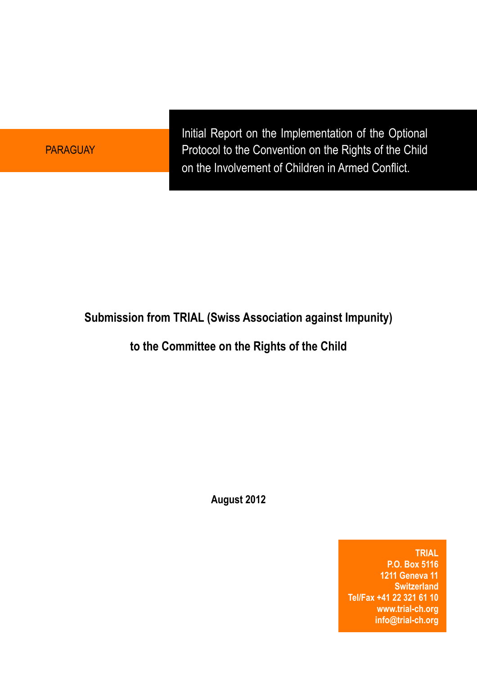PARAGUAY

Initial Report on the Implementation of the Optional Protocol to the Convention on the Rights of the Child on the Involvement of Children in Armed Conflict.

# **Submission from TRIAL (Swiss Association against Impunity)**

# **to the Committee on the Rights of the Child**

**August 2012**

**TRIAL P.O. Box 5116 1211 Geneva 11 Switzerland Tel/Fax +41 22 321 61 10 [www.trial-ch.org](http://www.trial-ch.org) [info@trial-ch.org](mailto:info@trial-ch.org)**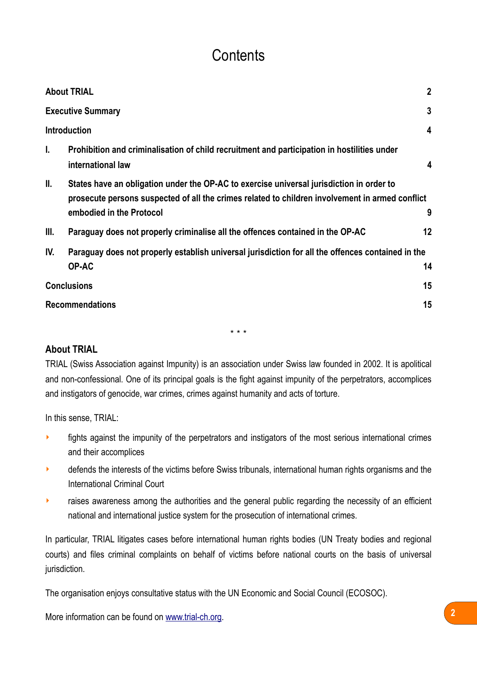# **Contents**

| <b>About TRIAL</b>  |                                                                                                   | $\mathbf{2}$ |
|---------------------|---------------------------------------------------------------------------------------------------|--------------|
|                     | <b>Executive Summary</b>                                                                          |              |
| <b>Introduction</b> |                                                                                                   | 4            |
| L.                  | Prohibition and criminalisation of child recruitment and participation in hostilities under       |              |
|                     | international law                                                                                 | 4            |
| II.                 | States have an obligation under the OP-AC to exercise universal jurisdiction in order to          |              |
|                     | prosecute persons suspected of all the crimes related to children involvement in armed conflict   |              |
|                     | embodied in the Protocol                                                                          | 9            |
| III.                | Paraguay does not properly criminalise all the offences contained in the OP-AC                    | 12           |
| IV.                 | Paraguay does not properly establish universal jurisdiction for all the offences contained in the |              |
|                     | OP-AC                                                                                             | 14           |
| <b>Conclusions</b>  |                                                                                                   | 15           |
|                     | <b>Recommendations</b>                                                                            |              |

\* \* \*

#### <span id="page-1-0"></span>**About TRIAL**

TRIAL (Swiss Association against Impunity) is an association under Swiss law founded in 2002. It is apolitical and non-confessional. One of its principal goals is the fight against impunity of the perpetrators, accomplices and instigators of genocide, war crimes, crimes against humanity and acts of torture.

In this sense, TRIAL:

- **If its against the impunity of the perpetrators and instigators of the most serious international crimes** and their accomplices
- **•** defends the interests of the victims before Swiss tribunals, international human rights organisms and the International Criminal Court
- **EXECT** raises awareness among the authorities and the general public regarding the necessity of an efficient national and international justice system for the prosecution of international crimes.

In particular, TRIAL litigates cases before international human rights bodies (UN Treaty bodies and regional courts) and files criminal complaints on behalf of victims before national courts on the basis of universal jurisdiction.

The organisation enjoys consultative status with the UN Economic and Social Council (ECOSOC).

More information can be found on [www.trial-ch.org.](http://www.trial-ch.org/) **2**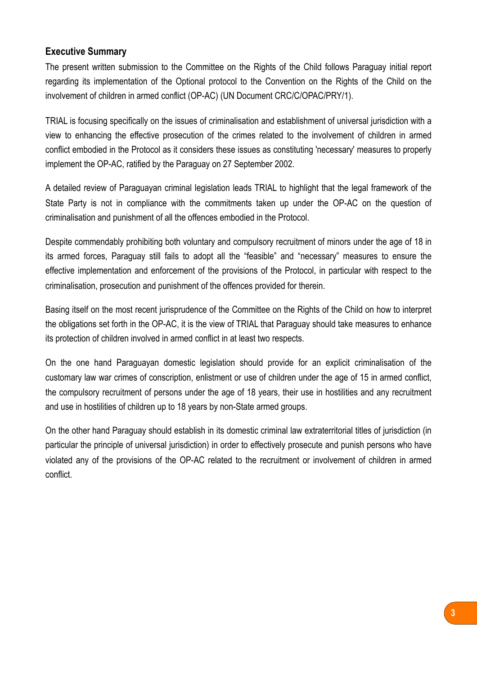#### <span id="page-2-0"></span>**Executive Summary**

The present written submission to the Committee on the Rights of the Child follows Paraguay initial report regarding its implementation of the Optional protocol to the Convention on the Rights of the Child on the involvement of children in armed conflict (OP-AC) (UN Document CRC/C/OPAC/PRY/1).

TRIAL is focusing specifically on the issues of criminalisation and establishment of universal jurisdiction with a view to enhancing the effective prosecution of the crimes related to the involvement of children in armed conflict embodied in the Protocol as it considers these issues as constituting 'necessary' measures to properly implement the OP-AC, ratified by the Paraguay on 27 September 2002.

A detailed review of Paraguayan criminal legislation leads TRIAL to highlight that the legal framework of the State Party is not in compliance with the commitments taken up under the OP-AC on the question of criminalisation and punishment of all the offences embodied in the Protocol.

Despite commendably prohibiting both voluntary and compulsory recruitment of minors under the age of 18 in its armed forces, Paraguay still fails to adopt all the "feasible" and "necessary" measures to ensure the effective implementation and enforcement of the provisions of the Protocol, in particular with respect to the criminalisation, prosecution and punishment of the offences provided for therein.

Basing itself on the most recent jurisprudence of the Committee on the Rights of the Child on how to interpret the obligations set forth in the OP-AC, it is the view of TRIAL that Paraguay should take measures to enhance its protection of children involved in armed conflict in at least two respects.

On the one hand Paraguayan domestic legislation should provide for an explicit criminalisation of the customary law war crimes of conscription, enlistment or use of children under the age of 15 in armed conflict, the compulsory recruitment of persons under the age of 18 years, their use in hostilities and any recruitment and use in hostilities of children up to 18 years by non-State armed groups.

On the other hand Paraguay should establish in its domestic criminal law extraterritorial titles of jurisdiction (in particular the principle of universal jurisdiction) in order to effectively prosecute and punish persons who have violated any of the provisions of the OP-AC related to the recruitment or involvement of children in armed conflict.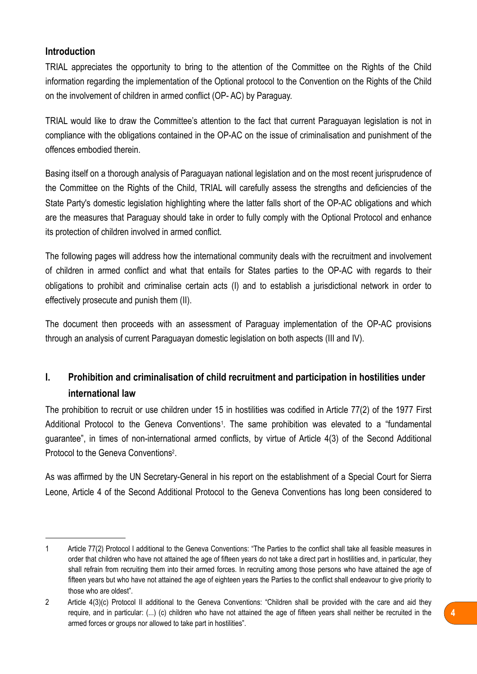#### <span id="page-3-0"></span>**Introduction**

TRIAL appreciates the opportunity to bring to the attention of the Committee on the Rights of the Child information regarding the implementation of the Optional protocol to the Convention on the Rights of the Child on the involvement of children in armed conflict (OP- AC) by Paraguay.

TRIAL would like to draw the Committee's attention to the fact that current Paraguayan legislation is not in compliance with the obligations contained in the OP-AC on the issue of criminalisation and punishment of the offences embodied therein.

Basing itself on a thorough analysis of Paraguayan national legislation and on the most recent jurisprudence of the Committee on the Rights of the Child, TRIAL will carefully assess the strengths and deficiencies of the State Party's domestic legislation highlighting where the latter falls short of the OP-AC obligations and which are the measures that Paraguay should take in order to fully comply with the Optional Protocol and enhance its protection of children involved in armed conflict.

The following pages will address how the international community deals with the recruitment and involvement of children in armed conflict and what that entails for States parties to the OP-AC with regards to their obligations to prohibit and criminalise certain acts (I) and to establish a jurisdictional network in order to effectively prosecute and punish them (II).

The document then proceeds with an assessment of Paraguay implementation of the OP-AC provisions through an analysis of current Paraguayan domestic legislation on both aspects (III and IV).

## <span id="page-3-1"></span>**I. Prohibition and criminalisation of child recruitment and participation in hostilities under international law**

The prohibition to recruit or use children under 15 in hostilities was codified in Article 77(2) of the 1977 First Additional Protocol to the Geneva Conventions<sup>[1](#page-3-2)</sup>. The same prohibition was elevated to a "fundamental guarantee", in times of non-international armed conflicts, by virtue of Article 4(3) of the Second Additional Protocol to the Geneva Conventions[2.](#page-3-3)

As was affirmed by the UN Secretary-General in his report on the establishment of a Special Court for Sierra Leone, Article 4 of the Second Additional Protocol to the Geneva Conventions has long been considered to

<span id="page-3-2"></span><sup>1</sup> Article 77(2) Protocol I additional to the Geneva Conventions: "The Parties to the conflict shall take all feasible measures in order that children who have not attained the age of fifteen years do not take a direct part in hostilities and, in particular, they shall refrain from recruiting them into their armed forces. In recruiting among those persons who have attained the age of fifteen years but who have not attained the age of eighteen years the Parties to the conflict shall endeavour to give priority to those who are oldest".

<span id="page-3-3"></span><sup>2</sup> Article 4(3)(c) Protocol II additional to the Geneva Conventions: "Children shall be provided with the care and aid they require, and in particular: (...) (c) children who have not attained the age of fifteen years shall neither be recruited in the armed forces or groups nor allowed to take part in hostilities".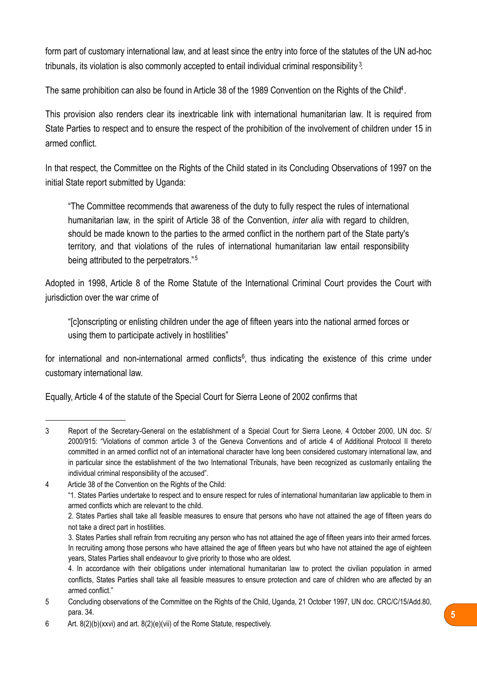form part of customary international law, and at least since the entry into force of the statutes of the UN ad-hoc tribunals, its violation is also commonly accepted to entail individual criminal responsibility<sup>[3](#page-4-0)</sup>.

The same prohibition can also be found in Article 38 of the 1989 Convention on the Rights of the Child<sup>4</sup>.

This provision also renders clear its inextricable link with international humanitarian law. It is required from State Parties to respect and to ensure the respect of the prohibition of the involvement of children under 15 in armed conflict.

In that respect, the Committee on the Rights of the Child stated in its Concluding Observations of 1997 on the initial State report submitted by Uganda:

"The Committee recommends that awareness of the duty to fully respect the rules of international humanitarian law, in the spirit of Article 38 of the Convention, *inter alia* with regard to children, should be made known to the parties to the armed conflict in the northern part of the State party's territory, and that violations of the rules of international humanitarian law entail responsibility being attributed to the perpetrators."<sup>[5](#page-4-2)</sup>

Adopted in 1998, Article 8 of the Rome Statute of the International Criminal Court provides the Court with jurisdiction over the war crime of

"[c]onscripting or enlisting children under the age of fifteen years into the national armed forces or using them to participate actively in hostilities"

for international and non-international armed conflicts<sup>[6](#page-4-3)</sup>, thus indicating the existence of this crime under customary international law.

Equally, Article 4 of the statute of the Special Court for Sierra Leone of 2002 confirms that

<span id="page-4-1"></span>4 Article 38 of the Convention on the Rights of the Child:

<span id="page-4-0"></span><sup>3</sup> Report of the Secretary-General on the establishment of a Special Court for Sierra Leone, 4 October 2000, UN doc. S/ 2000/915: "Violations of common article 3 of the Geneva Conventions and of article 4 of Additional Protocol II thereto committed in an armed conflict not of an international character have long been considered customary international law, and in particular since the establishment of the two International Tribunals, have been recognized as customarily entailing the individual criminal responsibility of the accused".

<sup>&</sup>quot;1. States Parties undertake to respect and to ensure respect for rules of international humanitarian law applicable to them in armed conflicts which are relevant to the child.

 <sup>2.</sup> States Parties shall take all feasible measures to ensure that persons who have not attained the age of fifteen years do not take a direct part in hostilities.

 <sup>3.</sup> States Parties shall refrain from recruiting any person who has not attained the age of fifteen years into their armed forces. In recruiting among those persons who have attained the age of fifteen years but who have not attained the age of eighteen years, States Parties shall endeavour to give priority to those who are oldest.

 <sup>4.</sup> In accordance with their obligations under international humanitarian law to protect the civilian population in armed conflicts, States Parties shall take all feasible measures to ensure protection and care of children who are affected by an armed conflict."

<span id="page-4-2"></span><sup>5</sup> Concluding observations of the Committee on the Rights of the Child, Uganda, 21 October 1997, UN doc. CRC/C/15/Add.80, para. 34.

<span id="page-4-3"></span><sup>6</sup> Art. 8(2)(b)(xxvi) and art. 8(2)(e)(vii) of the Rome Statute, respectively.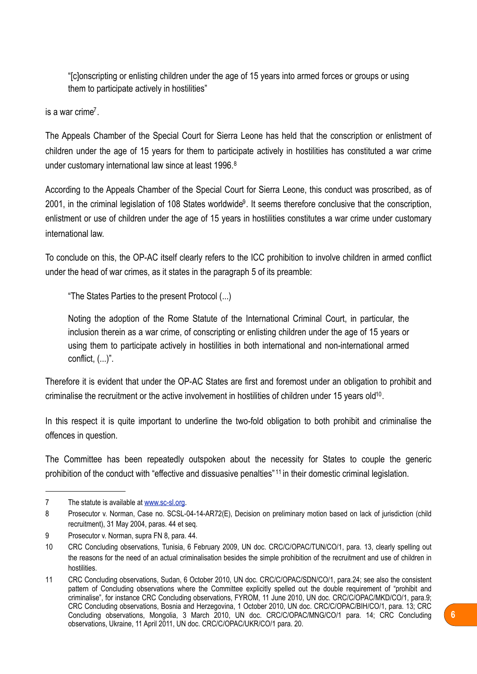"[c]onscripting or enlisting children under the age of 15 years into armed forces or groups or using them to participate actively in hostilities"

is a war crime<sup> $7$ </sup>

The Appeals Chamber of the Special Court for Sierra Leone has held that the conscription or enlistment of children under the age of 15 years for them to participate actively in hostilities has constituted a war crime under customary international law since at least 1996.<sup>[8](#page-5-1)</sup>

According to the Appeals Chamber of the Special Court for Sierra Leone, this conduct was proscribed, as of 2001, in the criminal legislation of 108 States worldwide<sup>9</sup>. It seems therefore conclusive that the conscription, enlistment or use of children under the age of 15 years in hostilities constitutes a war crime under customary international law.

To conclude on this, the OP-AC itself clearly refers to the ICC prohibition to involve children in armed conflict under the head of war crimes, as it states in the paragraph 5 of its preamble:

"The States Parties to the present Protocol (...)

Noting the adoption of the Rome Statute of the International Criminal Court, in particular, the inclusion therein as a war crime, of conscripting or enlisting children under the age of 15 years or using them to participate actively in hostilities in both international and non-international armed conflict, (...)".

Therefore it is evident that under the OP-AC States are first and foremost under an obligation to prohibit and criminalise the recruitment or the active involvement in hostilities of children under 15 years old<sup>10</sup>.

In this respect it is quite important to underline the two-fold obligation to both prohibit and criminalise the offences in question.

The Committee has been repeatedly outspoken about the necessity for States to couple the generic prohibition of the conduct with "effective and dissuasive penalties" [11](#page-5-4) in their domestic criminal legislation.

<span id="page-5-0"></span><sup>7</sup> The statute is available at [www.sc-sl.org.](http://www.sc-sl.org)

<span id="page-5-1"></span><sup>8</sup> Prosecutor v. Norman, Case no. SCSL-04-14-AR72(E), Decision on preliminary motion based on lack of jurisdiction (child recruitment), 31 May 2004, paras. 44 et seq.

<span id="page-5-2"></span><sup>9</sup> Prosecutor v. Norman, supra FN 8, para. 44.

<span id="page-5-3"></span><sup>10</sup> CRC Concluding observations, Tunisia, 6 February 2009, UN doc. CRC/C/OPAC/TUN/CO/1, para. 13, clearly spelling out the reasons for the need of an actual criminalisation besides the simple prohibition of the recruitment and use of children in hostilities.

<span id="page-5-4"></span><sup>11</sup> CRC Concluding observations, Sudan, 6 October 2010, UN doc. CRC/C/OPAC/SDN/CO/1, para.24; see also the consistent pattern of Concluding observations where the Committee explicitly spelled out the double requirement of "prohibit and criminalise", for instance CRC Concluding observations, FYROM, 11 June 2010, UN doc. CRC/C/OPAC/MKD/CO/1, para.9; CRC Concluding observations, Bosnia and Herzegovina, 1 October 2010, UN doc. CRC/C/OPAC/BIH/CO/1, para. 13; CRC Concluding observations, Mongolia, 3 March 2010, UN doc. CRC/C/OPAC/MNG/CO/1 para. 14; CRC Concluding observations, Ukraine, 11 April 2011, UN doc. CRC/C/OPAC/UKR/CO/1 para. 20.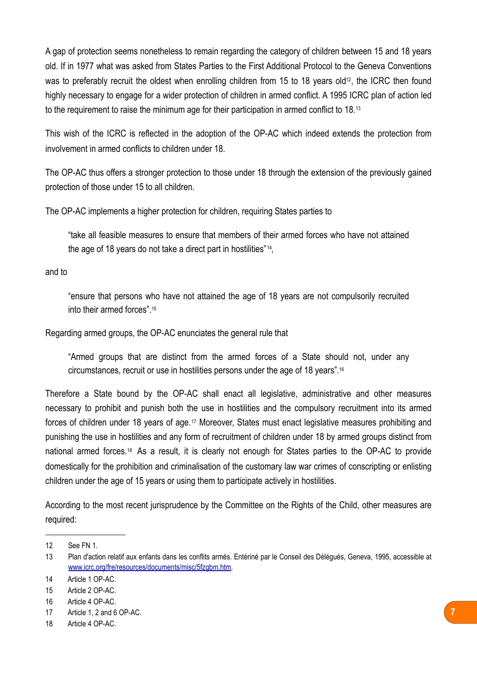A gap of protection seems nonetheless to remain regarding the category of children between 15 and 18 years old. If in 1977 what was asked from States Parties to the First Additional Protocol to the Geneva Conventions was to preferably recruit the oldest when enrolling children from 15 to 18 years old<sup>[12](#page-6-0)</sup>, the ICRC then found highly necessary to engage for a wider protection of children in armed conflict. A 1995 ICRC plan of action led to the requirement to raise the minimum age for their participation in armed conflict to 18.<sup>[13](#page-6-1)</sup>

This wish of the ICRC is reflected in the adoption of the OP-AC which indeed extends the protection from involvement in armed conflicts to children under 18.

The OP-AC thus offers a stronger protection to those under 18 through the extension of the previously gained protection of those under 15 to all children.

The OP-AC implements a higher protection for children, requiring States parties to

"take all feasible measures to ensure that members of their armed forces who have not attained the age of 18 years do not take a direct part in hostilities"[14](#page-6-2),

and to

"ensure that persons who have not attained the age of 18 years are not compulsorily recruited into their armed forces".[15](#page-6-3)

Regarding armed groups, the OP-AC enunciates the general rule that

"Armed groups that are distinct from the armed forces of a State should not, under any circumstances, recruit or use in hostilities persons under the age of 18 years"[.16](#page-6-4)

Therefore a State bound by the OP-AC shall enact all legislative, administrative and other measures necessary to prohibit and punish both the use in hostilities and the compulsory recruitment into its armed forces of children under 18 years of age.[17](#page-6-5) Moreover, States must enact legislative measures prohibiting and punishing the use in hostilities and any form of recruitment of children under 18 by armed groups distinct from national armed forces.[18](#page-6-6) As a result, it is clearly not enough for States parties to the OP-AC to provide domestically for the prohibition and criminalisation of the customary law war crimes of conscripting or enlisting children under the age of 15 years or using them to participate actively in hostilities.

According to the most recent jurisprudence by the Committee on the Rights of the Child, other measures are required:

<span id="page-6-0"></span><sup>12</sup> See FN 1.

<span id="page-6-1"></span><sup>13</sup> Plan d'action relatif aux enfants dans les conflits armés. Entériné par le Conseil des Délégués, Geneva, 1995, accessible at [www.icrc.org/fre/resources/documents/misc/5fzgbm.htm](http://www.icrc.org/fre/resources/documents/misc/5fzgbm.htm).

<span id="page-6-2"></span><sup>14</sup> Article 1 OP-AC.

<span id="page-6-3"></span><sup>15</sup> Article 2 OP-AC.

<span id="page-6-4"></span><sup>16</sup> Article 4 OP-AC.

<span id="page-6-5"></span><sup>17</sup> Article 1, 2 and 6 OP-AC.

<span id="page-6-6"></span><sup>18</sup> Article 4 OP-AC.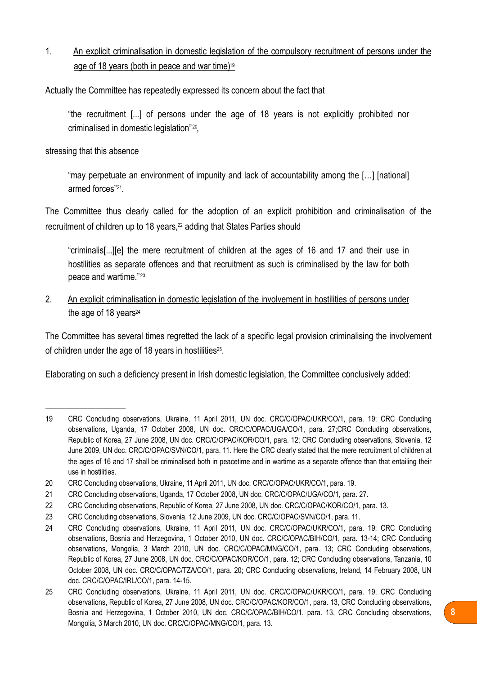1. An explicit criminalisation in domestic legislation of the compulsory recruitment of persons under the age of 18 years (both in peace and war time[\)19](#page-7-0)

Actually the Committee has repeatedly expressed its concern about the fact that

"the recruitment [...] of persons under the age of 18 years is not explicitly prohibited nor criminalised in domestic legislation"[20](#page-7-1),

stressing that this absence

"may perpetuate an environment of impunity and lack of accountability among the […] [national] armed forces"[21.](#page-7-2)

The Committee thus clearly called for the adoption of an explicit prohibition and criminalisation of the recruitment of children up to 18 years,<sup>22</sup> adding that States Parties should

"criminalis[...][e] the mere recruitment of children at the ages of 16 and 17 and their use in hostilities as separate offences and that recruitment as such is criminalised by the law for both peace and wartime." [23](#page-7-4)

2. An explicit criminalisation in domestic legislation of the involvement in hostilities of persons under the age of 18 years<sup>24</sup>

The Committee has several times regretted the lack of a specific legal provision criminalising the involvement of children under the age of 18 years in hostilities<sup>25</sup>.

Elaborating on such a deficiency present in Irish domestic legislation, the Committee conclusively added:

<span id="page-7-0"></span><sup>19</sup> CRC Concluding observations, Ukraine, 11 April 2011, UN doc. CRC/C/OPAC/UKR/CO/1, para. 19; CRC Concluding observations, Uganda, 17 October 2008, UN doc. CRC/C/OPAC/UGA/CO/1, para. 27;CRC Concluding observations, Republic of Korea, 27 June 2008, UN doc. CRC/C/OPAC/KOR/CO/1, para. 12; CRC Concluding observations, Slovenia, 12 June 2009, UN doc. CRC/C/OPAC/SVN/CO/1, para. 11. Here the CRC clearly stated that the mere recruitment of children at the ages of 16 and 17 shall be criminalised both in peacetime and in wartime as a separate offence than that entailing their use in hostilities.

<span id="page-7-1"></span><sup>20</sup> CRC Concluding observations, Ukraine, 11 April 2011, UN doc. CRC/C/OPAC/UKR/CO/1, para. 19.

<span id="page-7-2"></span><sup>21</sup> CRC Concluding observations, Uganda, 17 October 2008, UN doc. CRC/C/OPAC/UGA/CO/1, para. 27.

<span id="page-7-3"></span><sup>22</sup> CRC Concluding observations, Republic of Korea, 27 June 2008, UN doc. CRC/C/OPAC/KOR/CO/1, para. 13.

<span id="page-7-4"></span><sup>23</sup> CRC Concluding observations, Slovenia, 12 June 2009, UN doc. CRC/C/OPAC/SVN/CO/1, para. 11.

<span id="page-7-5"></span><sup>24</sup> CRC Concluding observations, Ukraine, 11 April 2011, UN doc. CRC/C/OPAC/UKR/CO/1, para. 19; CRC Concluding observations, Bosnia and Herzegovina, 1 October 2010, UN doc. CRC/C/OPAC/BIH/CO/1, para. 13-14; CRC Concluding observations, Mongolia, 3 March 2010, UN doc. CRC/C/OPAC/MNG/CO/1, para. 13; CRC Concluding observations, Republic of Korea, 27 June 2008, UN doc. CRC/C/OPAC/KOR/CO/1, para. 12; CRC Concluding observations, Tanzania, 10 October 2008, UN doc. CRC/C/OPAC/TZA/CO/1, para. 20; CRC Concluding observations, Ireland, 14 February 2008, UN doc. CRC/C/OPAC/IRL/CO/1, para. 14-15.

<span id="page-7-6"></span><sup>25</sup> CRC Concluding observations, Ukraine, 11 April 2011, UN doc. CRC/C/OPAC/UKR/CO/1, para. 19, CRC Concluding observations, Republic of Korea, 27 June 2008, UN doc. CRC/C/OPAC/KOR/CO/1, para. 13, CRC Concluding observations, Bosnia and Herzegovina, 1 October 2010, UN doc. CRC/C/OPAC/BIH/CO/1, para. 13, CRC Concluding observations, Mongolia, 3 March 2010, UN doc. CRC/C/OPAC/MNG/CO/1, para. 13.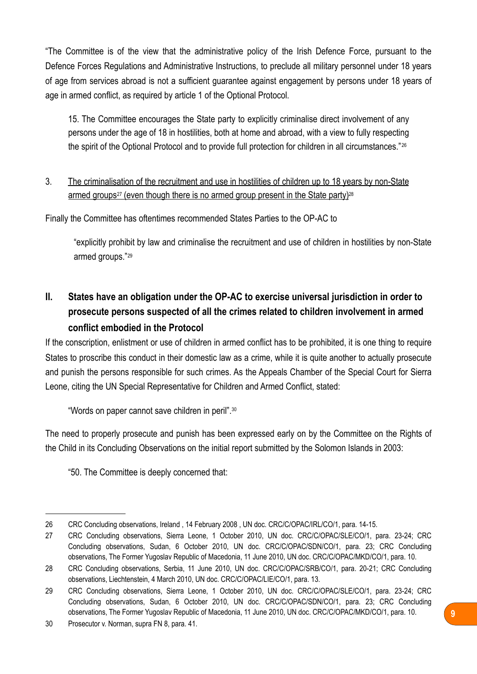"The Committee is of the view that the administrative policy of the Irish Defence Force, pursuant to the Defence Forces Regulations and Administrative Instructions, to preclude all military personnel under 18 years of age from services abroad is not a sufficient guarantee against engagement by persons under 18 years of age in armed conflict, as required by article 1 of the Optional Protocol.

15. The Committee encourages the State party to explicitly criminalise direct involvement of any persons under the age of 18 in hostilities, both at home and abroad, with a view to fully respecting the spirit of the Optional Protocol and to provide full protection for children in all circumstances."<sup>[26](#page-8-1)</sup>

3. The criminalisation of the recruitment and use in hostilities of children up to 18 years by non-State armed groups<sup>27</sup> (even though there is no armed group present in the State party)<sup>28</sup>

Finally the Committee has oftentimes recommended States Parties to the OP-AC to

"explicitly prohibit by law and criminalise the recruitment and use of children in hostilities by non-State armed groups."[29](#page-8-4)

## <span id="page-8-0"></span>**II. States have an obligation under the OP-AC to exercise universal jurisdiction in order to prosecute persons suspected of all the crimes related to children involvement in armed conflict embodied in the Protocol**

If the conscription, enlistment or use of children in armed conflict has to be prohibited, it is one thing to require States to proscribe this conduct in their domestic law as a crime, while it is quite another to actually prosecute and punish the persons responsible for such crimes. As the Appeals Chamber of the Special Court for Sierra Leone, citing the UN Special Representative for Children and Armed Conflict, stated:

"Words on paper cannot save children in peril".[30](#page-8-5)

The need to properly prosecute and punish has been expressed early on by the Committee on the Rights of the Child in its Concluding Observations on the initial report submitted by the Solomon Islands in 2003:

"50. The Committee is deeply concerned that:

<span id="page-8-1"></span><sup>26</sup> CRC Concluding observations, Ireland , 14 February 2008 , UN doc. CRC/C/OPAC/IRL/CO/1, para. 14-15.

<span id="page-8-2"></span><sup>27</sup> CRC Concluding observations, Sierra Leone, 1 October 2010, UN doc. CRC/C/OPAC/SLE/CO/1, para. 23-24; CRC Concluding observations, Sudan, 6 October 2010, UN doc. CRC/C/OPAC/SDN/CO/1, para. 23; CRC Concluding observations, The Former Yugoslav Republic of Macedonia, 11 June 2010, UN doc. CRC/C/OPAC/MKD/CO/1, para. 10.

<span id="page-8-3"></span><sup>28</sup> CRC Concluding observations, Serbia, 11 June 2010, UN doc. CRC/C/OPAC/SRB/CO/1, para. 20-21; CRC Concluding observations, Liechtenstein, 4 March 2010, UN doc. CRC/C/OPAC/LIE/CO/1, para. 13.

<span id="page-8-4"></span><sup>29</sup> CRC Concluding observations, Sierra Leone, 1 October 2010, UN doc. CRC/C/OPAC/SLE/CO/1, para. 23-24; CRC Concluding observations, Sudan, 6 October 2010, UN doc. CRC/C/OPAC/SDN/CO/1, para. 23; CRC Concluding observations, The Former Yugoslav Republic of Macedonia, 11 June 2010, UN doc. CRC/C/OPAC/MKD/CO/1, para. 10.

<span id="page-8-5"></span><sup>30</sup> Prosecutor v. Norman, supra FN 8, para. 41.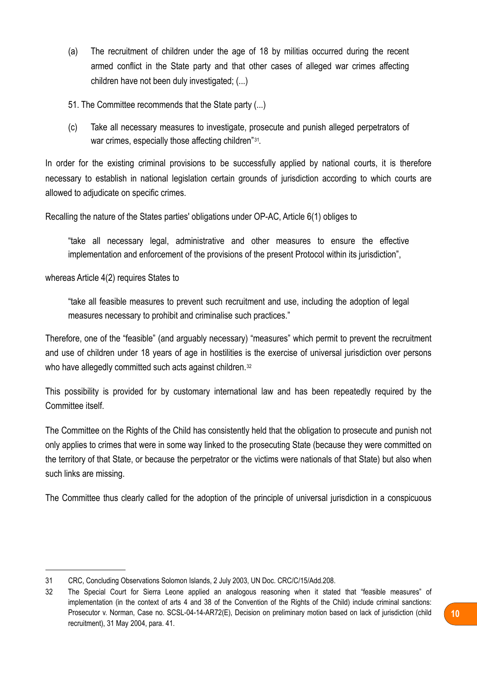- (a) The recruitment of children under the age of 18 by militias occurred during the recent armed conflict in the State party and that other cases of alleged war crimes affecting children have not been duly investigated; (...)
- 51. The Committee recommends that the State party (...)
- (c) Take all necessary measures to investigate, prosecute and punish alleged perpetrators of war crimes, especially those affecting children"[31.](#page-9-0)

In order for the existing criminal provisions to be successfully applied by national courts, it is therefore necessary to establish in national legislation certain grounds of jurisdiction according to which courts are allowed to adjudicate on specific crimes.

Recalling the nature of the States parties' obligations under OP-AC, Article 6(1) obliges to

"take all necessary legal, administrative and other measures to ensure the effective implementation and enforcement of the provisions of the present Protocol within its jurisdiction",

whereas Article 4(2) requires States to

"take all feasible measures to prevent such recruitment and use, including the adoption of legal measures necessary to prohibit and criminalise such practices."

Therefore, one of the "feasible" (and arguably necessary) "measures" which permit to prevent the recruitment and use of children under 18 years of age in hostilities is the exercise of universal jurisdiction over persons who have allegedly committed such acts against children.<sup>[32](#page-9-1)</sup>

This possibility is provided for by customary international law and has been repeatedly required by the Committee itself.

The Committee on the Rights of the Child has consistently held that the obligation to prosecute and punish not only applies to crimes that were in some way linked to the prosecuting State (because they were committed on the territory of that State, or because the perpetrator or the victims were nationals of that State) but also when such links are missing.

The Committee thus clearly called for the adoption of the principle of universal jurisdiction in a conspicuous

<span id="page-9-0"></span><sup>31</sup> CRC, Concluding Observations Solomon Islands, 2 July 2003, UN Doc. CRC/C/15/Add.208.

<span id="page-9-1"></span><sup>32</sup> The Special Court for Sierra Leone applied an analogous reasoning when it stated that "feasible measures" of implementation (in the context of arts 4 and 38 of the Convention of the Rights of the Child) include criminal sanctions: Prosecutor v. Norman, Case no. SCSL-04-14-AR72(E), Decision on preliminary motion based on lack of jurisdiction (child recruitment), 31 May 2004, para. 41.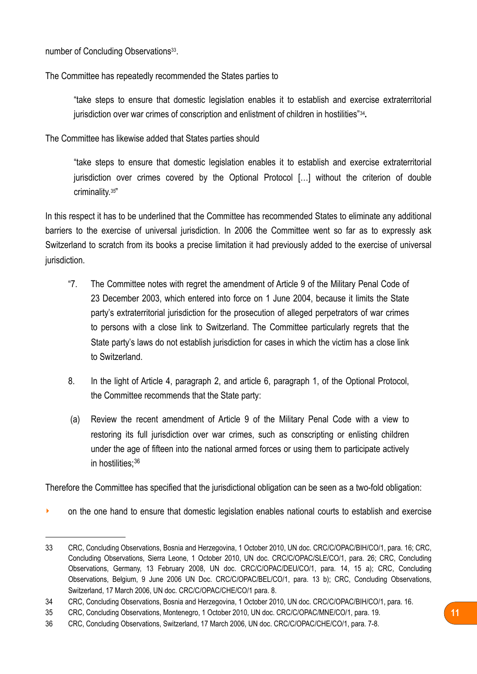number of Concluding Observations<sup>33</sup>.

The Committee has repeatedly recommended the States parties to

"take steps to ensure that domestic legislation enables it to establish and exercise extraterritorial jurisdiction over war crimes of conscription and enlistment of children in hostilities"[34](#page-10-1)**.**

The Committee has likewise added that States parties should

"take steps to ensure that domestic legislation enables it to establish and exercise extraterritorial jurisdiction over crimes covered by the Optional Protocol [...] without the criterion of double criminality.[35"](#page-10-2)

In this respect it has to be underlined that the Committee has recommended States to eliminate any additional barriers to the exercise of universal jurisdiction. In 2006 the Committee went so far as to expressly ask Switzerland to scratch from its books a precise limitation it had previously added to the exercise of universal jurisdiction.

- "7. The Committee notes with regret the amendment of Article 9 of the Military Penal Code of 23 December 2003, which entered into force on 1 June 2004, because it limits the State party's extraterritorial jurisdiction for the prosecution of alleged perpetrators of war crimes to persons with a close link to Switzerland. The Committee particularly regrets that the State party's laws do not establish jurisdiction for cases in which the victim has a close link to Switzerland.
- 8. In the light of Article 4, paragraph 2, and article 6, paragraph 1, of the Optional Protocol, the Committee recommends that the State party:
- (a) Review the recent amendment of Article 9 of the Military Penal Code with a view to restoring its full jurisdiction over war crimes, such as conscripting or enlisting children under the age of fifteen into the national armed forces or using them to participate actively in hostilities[;36](#page-10-3)

Therefore the Committee has specified that the jurisdictional obligation can be seen as a two-fold obligation:

• on the one hand to ensure that domestic legislation enables national courts to establish and exercise

<span id="page-10-0"></span><sup>33</sup> CRC, Concluding Observations, Bosnia and Herzegovina, 1 October 2010, UN doc. CRC/C/OPAC/BIH/CO/1, para. 16; CRC, Concluding Observations, Sierra Leone, 1 October 2010, UN doc. CRC/C/OPAC/SLE/CO/1, para. 26; CRC, Concluding Observations, Germany, 13 February 2008, UN doc. CRC/C/OPAC/DEU/CO/1, para. 14, 15 a); CRC, Concluding Observations, Belgium, 9 June 2006 UN Doc. CRC/C/OPAC/BEL/CO/1, para. 13 b); CRC, Concluding Observations, Switzerland, 17 March 2006, UN doc. CRC/C/OPAC/CHE/CO/1 para. 8.

<span id="page-10-1"></span><sup>34</sup> CRC, Concluding Observations, Bosnia and Herzegovina, 1 October 2010, UN doc. CRC/C/OPAC/BIH/CO/1, para. 16.

<span id="page-10-2"></span><sup>35</sup> CRC, Concluding Observations, Montenegro, 1 October 2010, UN doc. CRC/C/OPAC/MNE/CO/1, para. 19.

<span id="page-10-3"></span><sup>36</sup> CRC, Concluding Observations, Switzerland, 17 March 2006, UN doc. CRC/C/OPAC/CHE/CO/1, para. 7-8.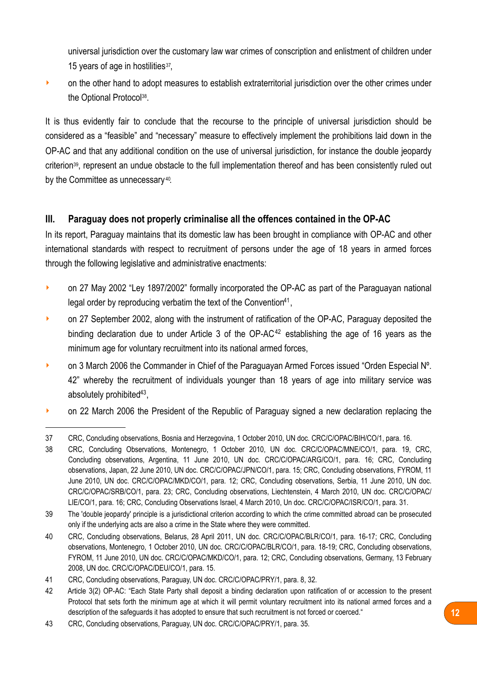universal jurisdiction over the customary law war crimes of conscription and enlistment of children under 15 years of age in hostilities<sup>37</sup>,

**•** on the other hand to adopt measures to establish extraterritorial jurisdiction over the other crimes under the Optional Protocol[38](#page-11-2).

It is thus evidently fair to conclude that the recourse to the principle of universal jurisdiction should be considered as a "feasible" and "necessary" measure to effectively implement the prohibitions laid down in the OP-AC and that any additional condition on the use of universal jurisdiction, for instance the double jeopardy criterion[39,](#page-11-3) represent an undue obstacle to the full implementation thereof and has been consistently ruled out by the Committee as unnecessary [40.](#page-11-4)

### <span id="page-11-0"></span>**III. Paraguay does not properly criminalise all the offences contained in the OP-AC**

In its report, Paraguay maintains that its domestic law has been brought in compliance with OP-AC and other international standards with respect to recruitment of persons under the age of 18 years in armed forces through the following legislative and administrative enactments:

- on 27 May 2002 "Ley 1897/2002" formally incorporated the OP-AC as part of the Paraguayan national legal order by reproducing verbatim the text of the Convention<sup>41</sup>.
- on 27 September 2002, along with the instrument of ratification of the OP-AC, Paraguay deposited the binding declaration due to under Article 3 of the  $OP-AC^{42}$  $OP-AC^{42}$  $OP-AC^{42}$  establishing the age of 16 years as the minimum age for voluntary recruitment into its national armed forces,
- **On 3 March 2006 the Commander in Chief of the Paraguayan Armed Forces issued "Orden Especial N°.** 42" whereby the recruitment of individuals younger than 18 years of age into military service was absolutely prohibited $43$ ,
- on 22 March 2006 the President of the Republic of Paraguay signed a new declaration replacing the

<span id="page-11-1"></span><sup>37</sup> CRC, Concluding observations, Bosnia and Herzegovina, 1 October 2010, UN doc. CRC/C/OPAC/BIH/CO/1, para. 16.

<span id="page-11-2"></span><sup>38</sup> CRC, Concluding Observations, Montenegro, 1 October 2010, UN doc. CRC/C/OPAC/MNE/CO/1, para. 19, CRC, Concluding observations, Argentina, 11 June 2010, UN doc. CRC/C/OPAC/ARG/CO/1, para. 16; CRC, Concluding observations, Japan, 22 June 2010, UN doc. CRC/C/OPAC/JPN/CO/1, para. 15; CRC, Concluding observations, FYROM, 11 June 2010, UN doc. CRC/C/OPAC/MKD/CO/1, para. 12; CRC, Concluding observations, Serbia, 11 June 2010, UN doc. CRC/C/OPAC/SRB/CO/1, para. 23; CRC, Concluding observations, Liechtenstein, 4 March 2010, UN doc. CRC/C/OPAC/ LIE/CO/1, para. 16; CRC, Concluding Observations Israel, 4 March 2010, Un doc. CRC/C/OPAC/ISR/CO/1, para. 31.

<span id="page-11-3"></span><sup>39</sup> The 'double jeopardy' principle is a jurisdictional criterion according to which the crime committed abroad can be prosecuted only if the underlying acts are also a crime in the State where they were committed.

<span id="page-11-4"></span><sup>40</sup> CRC, Concluding observations, Belarus, 28 April 2011, UN doc. CRC/C/OPAC/BLR/CO/1, para. 16-17; CRC, Concluding observations, Montenegro, 1 October 2010, UN doc. CRC/C/OPAC/BLR/CO/1, para. 18-19; CRC, Concluding observations, FYROM, 11 June 2010, UN doc. CRC/C/OPAC/MKD/CO/1, para. 12; CRC, Concluding observations, Germany, 13 February 2008, UN doc. CRC/C/OPAC/DEU/CO/1, para. 15.

<span id="page-11-5"></span><sup>41</sup> CRC, Concluding observations, Paraguay, UN doc. CRC/C/OPAC/PRY/1, para. 8, 32.

<span id="page-11-6"></span><sup>42</sup> Article 3(2) OP-AC: "Each State Party shall deposit a binding declaration upon ratification of or accession to the present Protocol that sets forth the minimum age at which it will permit voluntary recruitment into its national armed forces and a description of the safeguards it has adopted to ensure that such recruitment is not forced or coerced."

<span id="page-11-7"></span><sup>43</sup> CRC, Concluding observations, Paraguay, UN doc. CRC/C/OPAC/PRY/1, para. 35.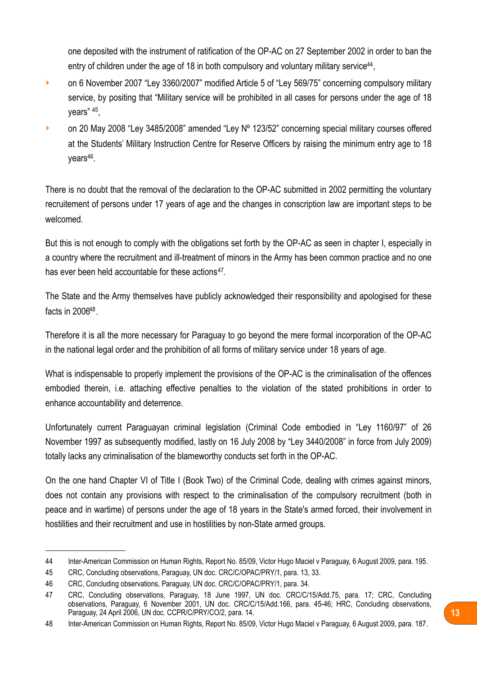one deposited with the instrument of ratification of the OP-AC on 27 September 2002 in order to ban the entry of children under the age of 18 in both compulsory and voluntary military service<sup>44</sup>,

- **on 6 November 2007 "Ley 3360/2007" modified Article 5 of "Ley 569/75" concerning compulsory military** service, by positing that "Military service will be prohibited in all cases for persons under the age of 18 years" [45](#page-12-1),
- **on 20 May 2008 "Ley 3485/2008" amended "Ley N° 123/52" concerning special military courses offered** at the Students' Military Instruction Centre for Reserve Officers by raising the minimum entry age to 18  $years<sup>46</sup>$ .

There is no doubt that the removal of the declaration to the OP-AC submitted in 2002 permitting the voluntary recruitement of persons under 17 years of age and the changes in conscription law are important steps to be welcomed.

But this is not enough to comply with the obligations set forth by the OP-AC as seen in chapter I, especially in a country where the recruitment and ill-treatment of minors in the Army has been common practice and no one has ever been held accountable for these actions<sup>[47](#page-12-3)</sup>.

The State and the Army themselves have publicly acknowledged their responsibility and apologised for these facts in 200[648.](#page-12-4)

Therefore it is all the more necessary for Paraguay to go beyond the mere formal incorporation of the OP-AC in the national legal order and the prohibition of all forms of military service under 18 years of age.

What is indispensable to properly implement the provisions of the OP-AC is the criminalisation of the offences embodied therein, i.e. attaching effective penalties to the violation of the stated prohibitions in order to enhance accountability and deterrence.

Unfortunately current Paraguayan criminal legislation (Criminal Code embodied in "Ley 1160/97" of 26 November 1997 as subsequently modified, lastly on 16 July 2008 by "Ley 3440/2008" in force from July 2009) totally lacks any criminalisation of the blameworthy conducts set forth in the OP-AC.

On the one hand Chapter VI of Title I (Book Two) of the Criminal Code, dealing with crimes against minors, does not contain any provisions with respect to the criminalisation of the compulsory recruitment (both in peace and in wartime) of persons under the age of 18 years in the State's armed forced, their involvement in hostilities and their recruitment and use in hostilities by non-State armed groups.

<span id="page-12-0"></span><sup>44</sup> Inter-American Commission on Human Rights, Report No. 85/09, Victor Hugo Maciel v Paraguay, 6 August 2009, para. 195.

<span id="page-12-1"></span><sup>45</sup> CRC, Concluding observations, Paraguay, UN doc. CRC/C/OPAC/PRY/1, para. 13, 33.

<span id="page-12-2"></span><sup>46</sup> CRC, Concluding observations, Paraguay, UN doc. CRC/C/OPAC/PRY/1, para. 34.

<span id="page-12-3"></span><sup>47</sup> CRC, Concluding observations, Paraguay, 18 June 1997, UN doc. CRC/C/15/Add.75, para. 17; CRC, Concluding observations, Paraguay, 6 November 2001, UN doc. CRC/C/15/Add.166, para. 45-46; HRC, Concluding observations, Paraguay, 24 April 2006, UN doc. CCPR/C/PRY/CO/2, para. 14.

<span id="page-12-4"></span><sup>48</sup> Inter-American Commission on Human Rights, Report No. 85/09, Victor Hugo Maciel v Paraguay, 6 August 2009, para. 187.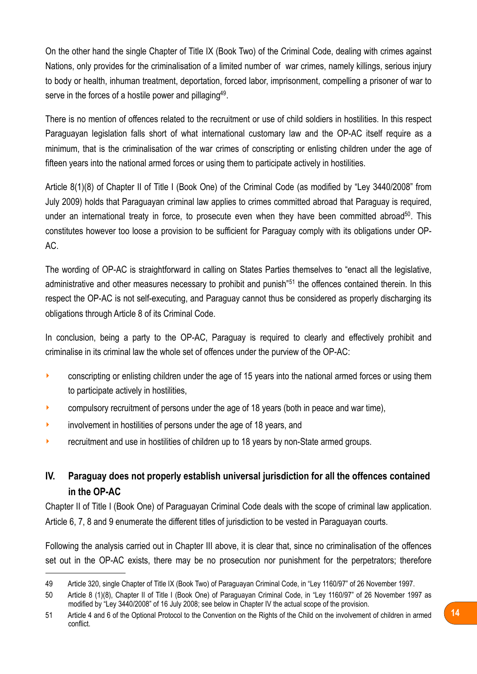On the other hand the single Chapter of Title IX (Book Two) of the Criminal Code, dealing with crimes against Nations, only provides for the criminalisation of a limited number of war crimes, namely killings, serious injury to body or health, inhuman treatment, deportation, forced labor, imprisonment, compelling a prisoner of war to serve in the forces of a hostile power and pillaging<sup>[49](#page-13-1)</sup>.

There is no mention of offences related to the recruitment or use of child soldiers in hostilities. In this respect Paraguayan legislation falls short of what international customary law and the OP-AC itself require as a minimum, that is the criminalisation of the war crimes of conscripting or enlisting children under the age of fifteen years into the national armed forces or using them to participate actively in hostilities.

Article 8(1)(8) of Chapter II of Title I (Book One) of the Criminal Code (as modified by "Ley 3440/2008" from July 2009) holds that Paraguayan criminal law applies to crimes committed abroad that Paraguay is required, under an international treaty in force, to prosecute even when they have been committed abroad<sup>[50](#page-13-2)</sup>. This constitutes however too loose a provision to be sufficient for Paraguay comply with its obligations under OP-AC.

The wording of OP-AC is straightforward in calling on States Parties themselves to "enact all the legislative, administrative and other measures necessary to prohibit and punish"[51](#page-13-3) the offences contained therein. In this respect the OP-AC is not self-executing, and Paraguay cannot thus be considered as properly discharging its obligations through Article 8 of its Criminal Code.

In conclusion, being a party to the OP-AC, Paraguay is required to clearly and effectively prohibit and criminalise in its criminal law the whole set of offences under the purview of the OP-AC:

- conscripting or enlisting children under the age of 15 years into the national armed forces or using them to participate actively in hostilities,
- $\triangleright$  compulsory recruitment of persons under the age of 18 years (both in peace and war time),
- involvement in hostilities of persons under the age of 18 years, and
- ‣ recruitment and use in hostilities of children up to 18 years by non-State armed groups.

### <span id="page-13-0"></span>**IV. Paraguay does not properly establish universal jurisdiction for all the offences contained in the OP-AC**

Chapter II of Title I (Book One) of Paraguayan Criminal Code deals with the scope of criminal law application. Article 6, 7, 8 and 9 enumerate the different titles of jurisdiction to be vested in Paraguayan courts.

Following the analysis carried out in Chapter III above, it is clear that, since no criminalisation of the offences set out in the OP-AC exists, there may be no prosecution nor punishment for the perpetrators; therefore

<span id="page-13-1"></span><sup>49</sup> Article 320, single Chapter of Title IX (Book Two) of Paraguayan Criminal Code, in "Ley 1160/97" of 26 November 1997.

<span id="page-13-2"></span><sup>50</sup> Article 8 (1)(8), Chapter II of Title I (Book One) of Paraguayan Criminal Code, in "Ley 1160/97" of 26 November 1997 as modified by "Ley 3440/2008" of 16 July 2008; see below in Chapter IV the actual scope of the provision.

<span id="page-13-3"></span><sup>51</sup> Article 4 and 6 of the Optional Protocol to the Convention on the Rights of the Child on the involvement of children in armed conflict.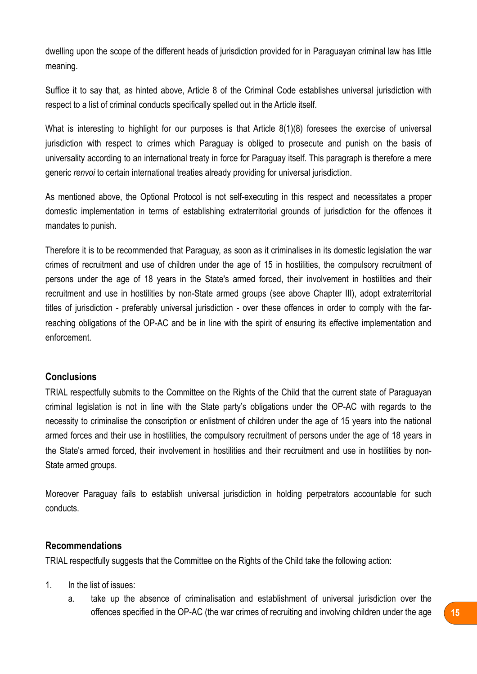dwelling upon the scope of the different heads of jurisdiction provided for in Paraguayan criminal law has little meaning.

Suffice it to say that, as hinted above, Article 8 of the Criminal Code establishes universal jurisdiction with respect to a list of criminal conducts specifically spelled out in the Article itself.

What is interesting to highlight for our purposes is that Article 8(1)(8) foresees the exercise of universal jurisdiction with respect to crimes which Paraguay is obliged to prosecute and punish on the basis of universality according to an international treaty in force for Paraguay itself. This paragraph is therefore a mere generic *renvoi* to certain international treaties already providing for universal jurisdiction.

As mentioned above, the Optional Protocol is not self-executing in this respect and necessitates a proper domestic implementation in terms of establishing extraterritorial grounds of jurisdiction for the offences it mandates to punish.

Therefore it is to be recommended that Paraguay, as soon as it criminalises in its domestic legislation the war crimes of recruitment and use of children under the age of 15 in hostilities, the compulsory recruitment of persons under the age of 18 years in the State's armed forced, their involvement in hostilities and their recruitment and use in hostilities by non-State armed groups (see above Chapter III), adopt extraterritorial titles of jurisdiction - preferably universal jurisdiction - over these offences in order to comply with the farreaching obligations of the OP-AC and be in line with the spirit of ensuring its effective implementation and enforcement.

#### <span id="page-14-0"></span>**Conclusions**

TRIAL respectfully submits to the Committee on the Rights of the Child that the current state of Paraguayan criminal legislation is not in line with the State party's obligations under the OP-AC with regards to the necessity to criminalise the conscription or enlistment of children under the age of 15 years into the national armed forces and their use in hostilities, the compulsory recruitment of persons under the age of 18 years in the State's armed forced, their involvement in hostilities and their recruitment and use in hostilities by non-State armed groups.

Moreover Paraguay fails to establish universal jurisdiction in holding perpetrators accountable for such conducts.

#### <span id="page-14-1"></span>**Recommendations**

TRIAL respectfully suggests that the Committee on the Rights of the Child take the following action:

- 1. In the list of issues:
	- a. take up the absence of criminalisation and establishment of universal jurisdiction over the offences specified in the OP-AC (the war crimes of recruiting and involving children under the age **15**